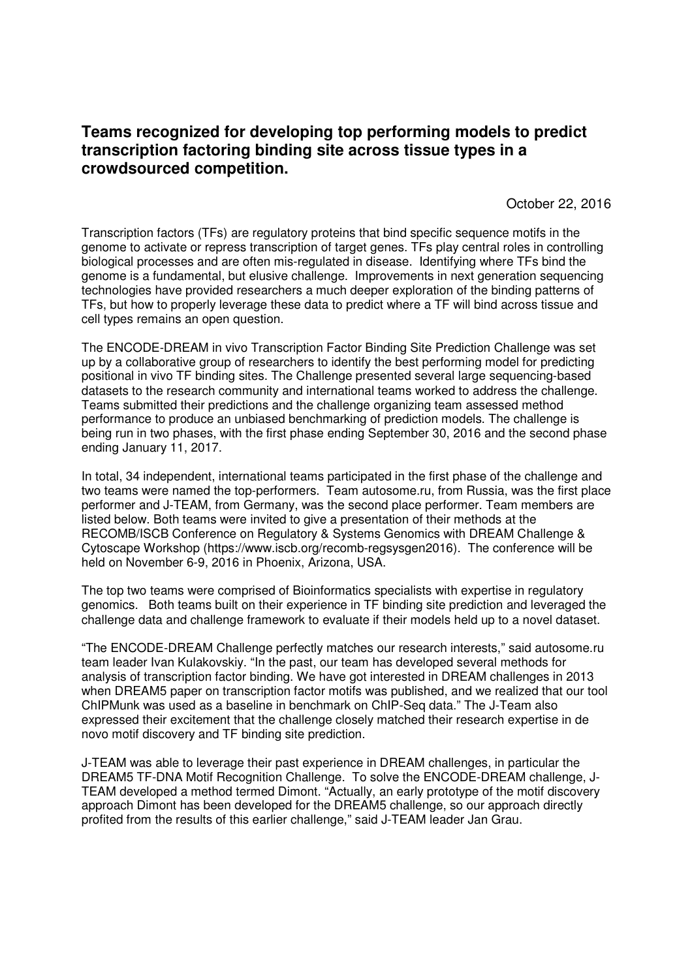## **Teams recognized for developing top performing models to predict transcription factoring binding site across tissue types in a crowdsourced competition.**

October 22, 2016

Transcription factors (TFs) are regulatory proteins that bind specific sequence motifs in the genome to activate or repress transcription of target genes. TFs play central roles in controlling biological processes and are often mis-regulated in disease. Identifying where TFs bind the genome is a fundamental, but elusive challenge. Improvements in next generation sequencing technologies have provided researchers a much deeper exploration of the binding patterns of TFs, but how to properly leverage these data to predict where a TF will bind across tissue and cell types remains an open question.

The ENCODE-DREAM in vivo Transcription Factor Binding Site Prediction Challenge was set up by a collaborative group of researchers to identify the best performing model for predicting positional in vivo TF binding sites. The Challenge presented several large sequencing-based datasets to the research community and international teams worked to address the challenge. Teams submitted their predictions and the challenge organizing team assessed method performance to produce an unbiased benchmarking of prediction models. The challenge is being run in two phases, with the first phase ending September 30, 2016 and the second phase ending January 11, 2017.

In total, 34 independent, international teams participated in the first phase of the challenge and two teams were named the top-performers. Team autosome.ru, from Russia, was the first place performer and J-TEAM, from Germany, was the second place performer. Team members are listed below. Both teams were invited to give a presentation of their methods at the RECOMB/ISCB Conference on Regulatory & Systems Genomics with DREAM Challenge & Cytoscape Workshop (https://www.iscb.org/recomb-regsysgen2016). The conference will be held on November 6-9, 2016 in Phoenix, Arizona, USA.

The top two teams were comprised of Bioinformatics specialists with expertise in regulatory genomics. Both teams built on their experience in TF binding site prediction and leveraged the challenge data and challenge framework to evaluate if their models held up to a novel dataset.

"The ENCODE-DREAM Challenge perfectly matches our research interests," said autosome.ru team leader Ivan Kulakovskiy. "In the past, our team has developed several methods for analysis of transcription factor binding. We have got interested in DREAM challenges in 2013 when DREAM5 paper on transcription factor motifs was published, and we realized that our tool ChIPMunk was used as a baseline in benchmark on ChIP-Seq data." The J-Team also expressed their excitement that the challenge closely matched their research expertise in de novo motif discovery and TF binding site prediction.

J-TEAM was able to leverage their past experience in DREAM challenges, in particular the DREAM5 TF-DNA Motif Recognition Challenge. To solve the ENCODE-DREAM challenge, J-TEAM developed a method termed Dimont. "Actually, an early prototype of the motif discovery approach Dimont has been developed for the DREAM5 challenge, so our approach directly profited from the results of this earlier challenge," said J-TEAM leader Jan Grau.